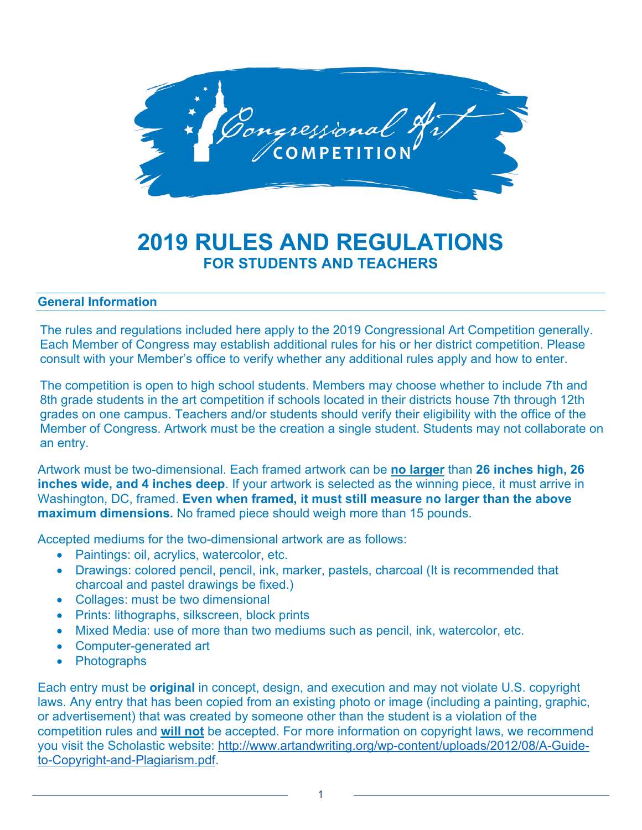

# **2019 RULES AND REGULATIONS FOR STUDENTS AND TEACHERS**

#### **General Information**

The rules and regulations included here apply to the 2019 Congressional Art Competition generally. Each Member of Congress may establish additional rules for his or her district competition. Please consult with your Member's office to verify whether any additional rules apply and how to enter.

The competition is open to high school students. Members may choose whether to include 7th and 8th grade students in the art competition if schools located in their districts house 7th through 12th grades on one campus. Teachers and/or students should verify their eligibility with the office of the Member of Congress. Artwork must be the creation a single student. Students may not collaborate on an entry.

Artwork must be two-dimensional. Each framed artwork can be **no larger** than **26 inches high, 26 inches wide, and 4 inches deep**. If your artwork is selected as the winning piece, it must arrive in Washington, DC, framed. **Even when framed, it must still measure no larger than the above maximum dimensions.** No framed piece should weigh more than 15 pounds.

Accepted mediums for the two-dimensional artwork are as follows:

- Paintings: oil, acrylics, watercolor, etc.
- Drawings: colored pencil, pencil, ink, marker, pastels, charcoal (It is recommended that charcoal and pastel drawings be fixed.)
- Collages: must be two dimensional
- Prints: lithographs, silkscreen, block prints
- Mixed Media: use of more than two mediums such as pencil, ink, watercolor, etc.
- Computer-generated art
- Photographs

Each entry must be **original** in concept, design, and execution and may not violate U.S. copyright laws. Any entry that has been copied from an existing photo or image (including a painting, graphic, or advertisement) that was created by someone other than the student is a violation of the competition rules and **will not** be accepted. For more information on copyright laws, we recommend you visit the Scholastic website: http://www.artandwriting.org/wp-content/uploads/2012/08/A-Guideto-Copyright-and-Plagiarism.pdf.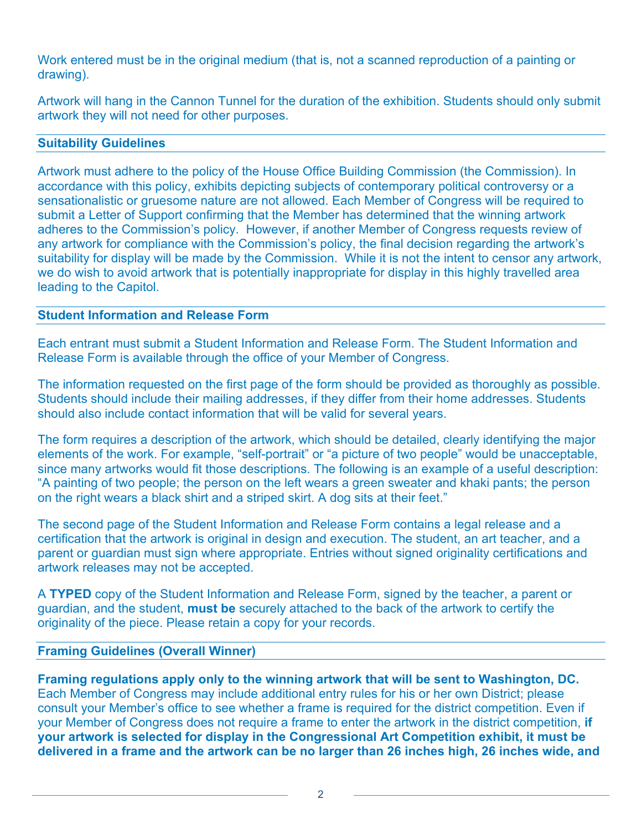Work entered must be in the original medium (that is, not a scanned reproduction of a painting or drawing).

Artwork will hang in the Cannon Tunnel for the duration of the exhibition. Students should only submit artwork they will not need for other purposes.

#### **Suitability Guidelines**

Artwork must adhere to the policy of the House Office Building Commission (the Commission). In accordance with this policy, exhibits depicting subjects of contemporary political controversy or a sensationalistic or gruesome nature are not allowed. Each Member of Congress will be required to submit a Letter of Support confirming that the Member has determined that the winning artwork adheres to the Commission's policy. However, if another Member of Congress requests review of any artwork for compliance with the Commission's policy, the final decision regarding the artwork's suitability for display will be made by the Commission. While it is not the intent to censor any artwork, we do wish to avoid artwork that is potentially inappropriate for display in this highly travelled area leading to the Capitol.

#### **Student Information and Release Form**

Each entrant must submit a Student Information and Release Form. The Student Information and Release Form is available through the office of your Member of Congress.

The information requested on the first page of the form should be provided as thoroughly as possible. Students should include their mailing addresses, if they differ from their home addresses. Students should also include contact information that will be valid for several years.

The form requires a description of the artwork, which should be detailed, clearly identifying the major elements of the work. For example, "self-portrait" or "a picture of two people" would be unacceptable, since many artworks would fit those descriptions. The following is an example of a useful description: "A painting of two people; the person on the left wears a green sweater and khaki pants; the person on the right wears a black shirt and a striped skirt. A dog sits at their feet."

The second page of the Student Information and Release Form contains a legal release and a certification that the artwork is original in design and execution. The student, an art teacher, and a parent or guardian must sign where appropriate. Entries without signed originality certifications and artwork releases may not be accepted.

A **TYPED** copy of the Student Information and Release Form, signed by the teacher, a parent or guardian, and the student, **must be** securely attached to the back of the artwork to certify the originality of the piece. Please retain a copy for your records.

## **Framing Guidelines (Overall Winner)**

**Framing regulations apply only to the winning artwork that will be sent to Washington, DC.**  Each Member of Congress may include additional entry rules for his or her own District; please consult your Member's office to see whether a frame is required for the district competition. Even if your Member of Congress does not require a frame to enter the artwork in the district competition, **if your artwork is selected for display in the Congressional Art Competition exhibit, it must be delivered in a frame and the artwork can be no larger than 26 inches high, 26 inches wide, and**